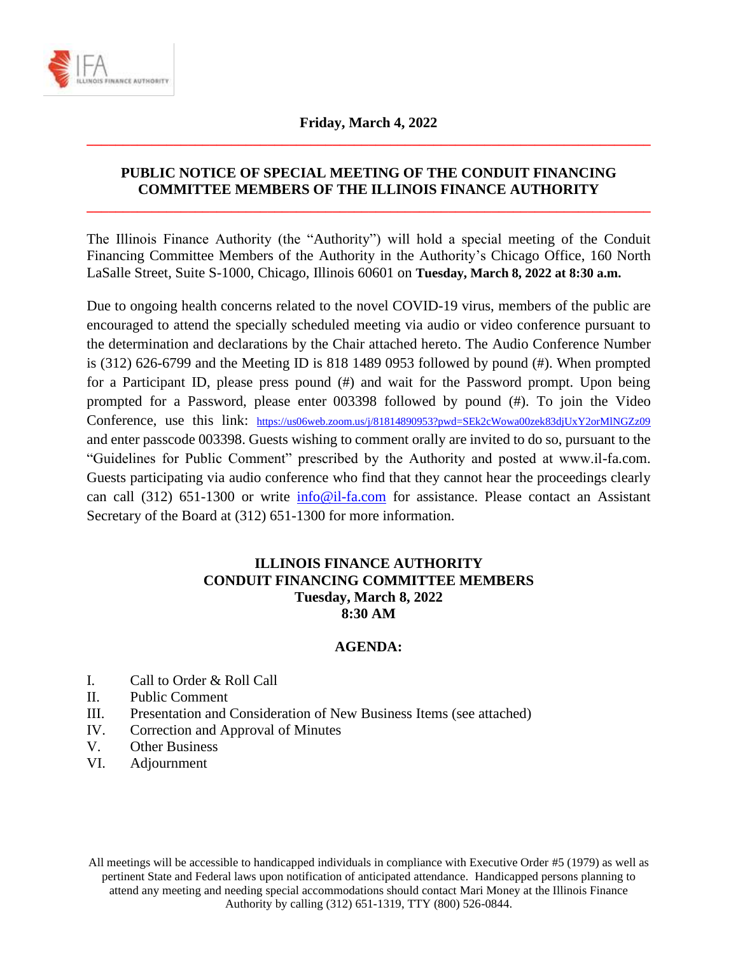

# **Friday, March 4, 2022 \_\_\_\_\_\_\_\_\_\_\_\_\_\_\_\_\_\_\_\_\_\_\_\_\_\_\_\_\_\_\_\_\_\_\_\_\_\_\_\_\_\_\_\_\_\_\_\_\_\_\_\_\_\_\_\_\_\_\_\_\_\_\_\_\_\_\_\_\_\_\_\_\_\_\_\_\_\_**

## **PUBLIC NOTICE OF SPECIAL MEETING OF THE CONDUIT FINANCING COMMITTEE MEMBERS OF THE ILLINOIS FINANCE AUTHORITY**

**\_\_\_\_\_\_\_\_\_\_\_\_\_\_\_\_\_\_\_\_\_\_\_\_\_\_\_\_\_\_\_\_\_\_\_\_\_\_\_\_\_\_\_\_\_\_\_\_\_\_\_\_\_\_\_\_\_\_\_\_\_\_\_\_\_\_\_\_\_\_\_\_\_\_\_\_\_\_**

The Illinois Finance Authority (the "Authority") will hold a special meeting of the Conduit Financing Committee Members of the Authority in the Authority's Chicago Office, 160 North LaSalle Street, Suite S-1000, Chicago, Illinois 60601 on **Tuesday, March 8, 2022 at 8:30 a.m.**

Due to ongoing health concerns related to the novel COVID-19 virus, members of the public are encouraged to attend the specially scheduled meeting via audio or video conference pursuant to the determination and declarations by the Chair attached hereto. The Audio Conference Number is (312) 626-6799 and the Meeting ID is 818 1489 0953 followed by pound (#). When prompted for a Participant ID, please press pound (#) and wait for the Password prompt. Upon being prompted for a Password, please enter 003398 followed by pound (#). To join the Video Conference, use this link: <https://us06web.zoom.us/j/81814890953?pwd=SEk2cWowa00zek83djUxY2orMlNGZz09> and enter passcode 003398. Guests wishing to comment orally are invited to do so, pursuant to the "Guidelines for Public Comment" prescribed by the Authority and posted at www.il-fa.com. Guests participating via audio conference who find that they cannot hear the proceedings clearly can call (312) 651-1300 or write [info@il-fa.com](mailto:info@il-fa.com) for assistance. Please contact an Assistant Secretary of the Board at (312) 651-1300 for more information.

## **ILLINOIS FINANCE AUTHORITY CONDUIT FINANCING COMMITTEE MEMBERS Tuesday, March 8, 2022 8:30 AM**

### **AGENDA:**

- I. Call to Order & Roll Call
- II. Public Comment
- III. Presentation and Consideration of New Business Items (see attached)
- IV. Correction and Approval of Minutes
- V. Other Business
- VI. Adjournment

All meetings will be accessible to handicapped individuals in compliance with Executive Order #5 (1979) as well as pertinent State and Federal laws upon notification of anticipated attendance. Handicapped persons planning to attend any meeting and needing special accommodations should contact Mari Money at the Illinois Finance Authority by calling (312) 651-1319, TTY (800) 526-0844.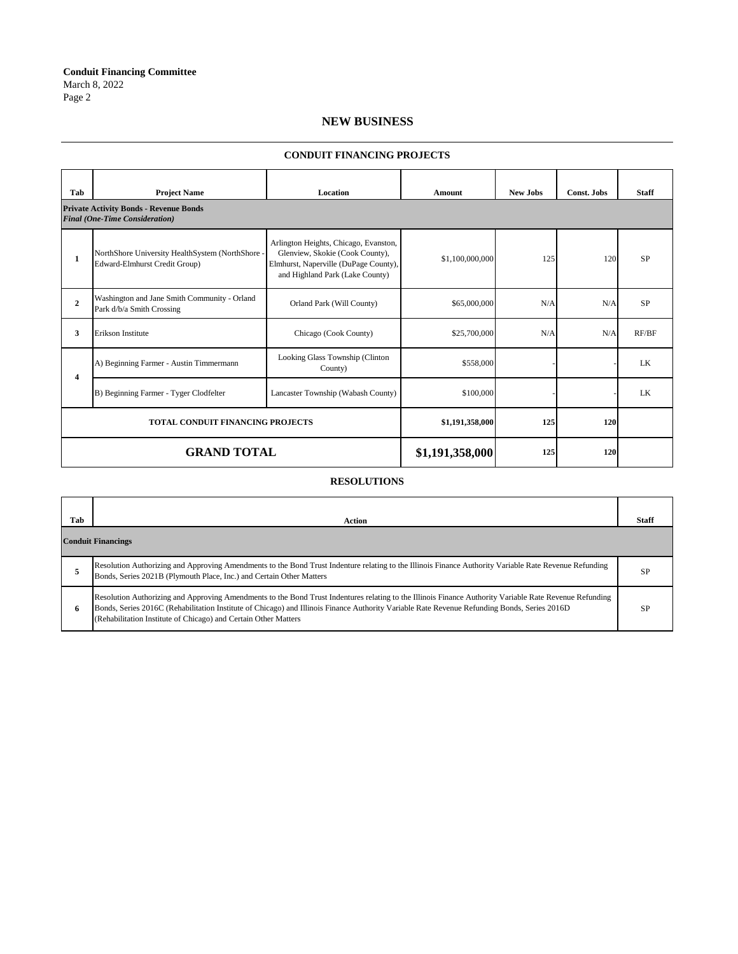**Conduit Financing Committee** March 8, 2022 Page 2

### **NEW BUSINESS**

### **Tab Project Name Location Amount New Jobs Const. Jobs Staff 1** NorthShore University HealthSystem (NorthShore - Edward-Elmhurst Credit Group) Arlington Heights, Chicago, Evanston, Glenview, Skokie (Cook County), Elmhurst, Naperville (DuPage County), and Highland Park (Lake County) \$1,100,000,000 125 120 SP **2** Washington and Jane Smith Community - Orland Washington and Jane Smith Community - Orland Corland Park (Will County) \$65,000,000 N/A N/A SP<br>Park d/b/a Smith Crossing **3** Erikson Institute Chicago (Cook County) \$25,700,000 N/A N/A RF/BF A) Beginning Farmer - Austin Timmermann Looking Glass Township (Clinton County)  $\frac{\$558,000}{\$558,000}$  - LK B) Beginning Farmer - Tyger Clodfelter Lancaster Township (Wabash County) \$100,000 - - LK **\$1,191,358,000 125 120 \$1,191,358,000 125 120 GRAND TOTAL TOTAL CONDUIT FINANCING PROJECTS Private Activity Bonds - Revenue Bonds** *Final (One-Time Consideration)* **4**

#### **CONDUIT FINANCING PROJECTS**

#### **RESOLUTIONS**

| Tab                       | <b>Action</b>                                                                                                                                                                                                                                                                                                                                                              | Staff     |
|---------------------------|----------------------------------------------------------------------------------------------------------------------------------------------------------------------------------------------------------------------------------------------------------------------------------------------------------------------------------------------------------------------------|-----------|
| <b>Conduit Financings</b> |                                                                                                                                                                                                                                                                                                                                                                            |           |
|                           | Resolution Authorizing and Approving Amendments to the Bond Trust Indenture relating to the Illinois Finance Authority Variable Rate Revenue Refunding<br>Bonds, Series 2021B (Plymouth Place, Inc.) and Certain Other Matters                                                                                                                                             | SP        |
| 6                         | Resolution Authorizing and Approving Amendments to the Bond Trust Indentures relating to the Illinois Finance Authority Variable Rate Revenue Refunding<br>Bonds, Series 2016C (Rehabilitation Institute of Chicago) and Illinois Finance Authority Variable Rate Revenue Refunding Bonds, Series 2016D<br>(Rehabilitation Institute of Chicago) and Certain Other Matters | <b>SP</b> |